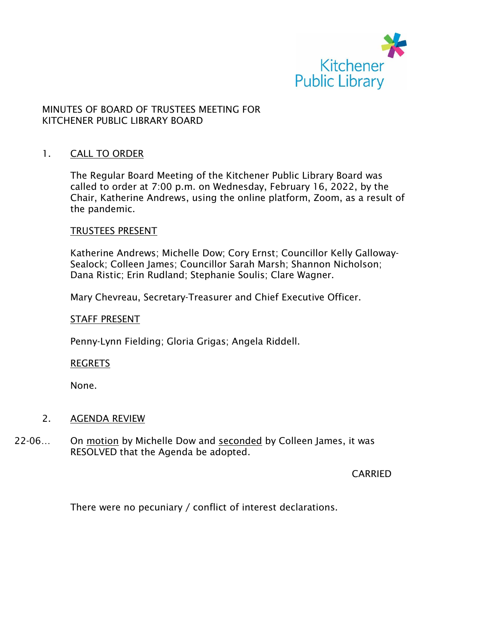

# MINUTES OF BOARD OF TRUSTEES MEETING FOR KITCHENER PUBLIC LIBRARY BOARD

### 1. CALL TO ORDER

The Regular Board Meeting of the Kitchener Public Library Board was called to order at 7:00 p.m. on Wednesday, February 16, 2022, by the Chair, Katherine Andrews, using the online platform, Zoom, as a result of the pandemic.

#### TRUSTEES PRESENT

Katherine Andrews; Michelle Dow; Cory Ernst; Councillor Kelly Galloway-Sealock; Colleen James; Councillor Sarah Marsh; Shannon Nicholson; Dana Ristic; Erin Rudland; Stephanie Soulis; Clare Wagner.

Mary Chevreau, Secretary-Treasurer and Chief Executive Officer.

#### STAFF PRESENT

Penny-Lynn Fielding; Gloria Grigas; Angela Riddell.

#### REGRETS

None.

### 2. AGENDA REVIEW

22-06... On motion by Michelle Dow and seconded by Colleen James, it was RESOLVED that the Agenda be adopted.

**CARRIED** 

There were no pecuniary / conflict of interest declarations.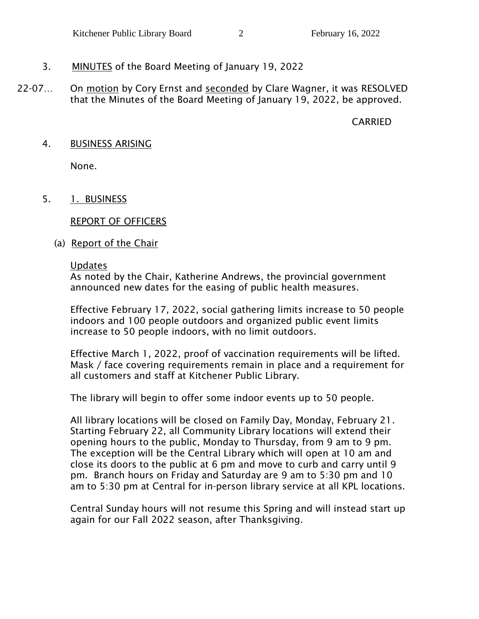# 3. MINUTES of the Board Meeting of January 19, 2022

22-07... On motion by Cory Ernst and seconded by Clare Wagner, it was RESOLVED that the Minutes of the Board Meeting of January 19, 2022, be approved.

CARRIED

## 4. BUSINESS ARISING

None.

# 5. 1. BUSINESS

REPORT OF OFFICERS

(a) Report of the Chair

### Updates

As noted by the Chair, Katherine Andrews, the provincial government announced new dates for the easing of public health measures.

Effective February 17, 2022, social gathering limits increase to 50 people indoors and 100 people outdoors and organized public event limits increase to 50 people indoors, with no limit outdoors.

Effective March 1, 2022, proof of vaccination requirements will be lifted. Mask / face covering requirements remain in place and a requirement for all customers and staff at Kitchener Public Library.

The library will begin to offer some indoor events up to 50 people.

All library locations will be closed on Family Day, Monday, February 21. Starting February 22, all Community Library locations will extend their opening hours to the public, Monday to Thursday, from 9 am to 9 pm. The exception will be the Central Library which will open at 10 am and close its doors to the public at 6 pm and move to curb and carry until 9 pm. Branch hours on Friday and Saturday are 9 am to 5:30 pm and 10 am to 5:30 pm at Central for in-person library service at all KPL locations.

Central Sunday hours will not resume this Spring and will instead start up again for our Fall 2022 season, after Thanksgiving.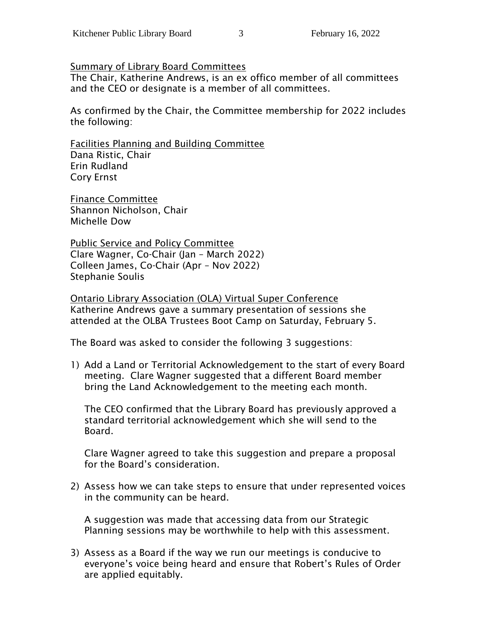Summary of Library Board Committees

The Chair, Katherine Andrews, is an ex offico member of all committees and the CEO or designate is a member of all committees.

As confirmed by the Chair, the Committee membership for 2022 includes the following:

Facilities Planning and Building Committee Dana Ristic, Chair Erin Rudland Cory Ernst

Finance Committee Shannon Nicholson, Chair Michelle Dow

Public Service and Policy Committee Clare Wagner, Co-Chair (Jan – March 2022) Colleen James, Co-Chair (Apr – Nov 2022) Stephanie Soulis

Ontario Library Association (OLA) Virtual Super Conference Katherine Andrews gave a summary presentation of sessions she attended at the OLBA Trustees Boot Camp on Saturday, February 5.

The Board was asked to consider the following 3 suggestions:

1) Add a Land or Territorial Acknowledgement to the start of every Board meeting. Clare Wagner suggested that a different Board member bring the Land Acknowledgement to the meeting each month.

The CEO confirmed that the Library Board has previously approved a standard territorial acknowledgement which she will send to the Board.

Clare Wagner agreed to take this suggestion and prepare a proposal for the Board's consideration.

2) Assess how we can take steps to ensure that under represented voices in the community can be heard.

A suggestion was made that accessing data from our Strategic Planning sessions may be worthwhile to help with this assessment.

3) Assess as a Board if the way we run our meetings is conducive to everyone's voice being heard and ensure that Robert's Rules of Order are applied equitably.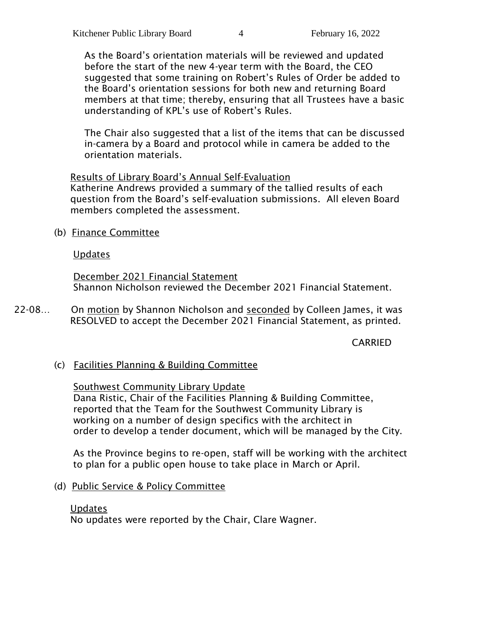As the Board's orientation materials will be reviewed and updated before the start of the new 4-year term with the Board, the CEO suggested that some training on Robert's Rules of Order be added to the Board's orientation sessions for both new and returning Board members at that time; thereby, ensuring that all Trustees have a basic understanding of KPL's use of Robert's Rules.

The Chair also suggested that a list of the items that can be discussed in-camera by a Board and protocol while in camera be added to the orientation materials.

Results of Library Board's Annual Self-Evaluation Katherine Andrews provided a summary of the tallied results of each question from the Board's self-evaluation submissions. All eleven Board members completed the assessment.

(b) Finance Committee

# Updates

December 2021 Financial Statement Shannon Nicholson reviewed the December 2021 Financial Statement.

22-08… On motion by Shannon Nicholson and seconded by Colleen James, it was RESOLVED to accept the December 2021 Financial Statement, as printed.

# CARRIED

(c) Facilities Planning & Building Committee

# Southwest Community Library Update

Dana Ristic, Chair of the Facilities Planning & Building Committee, reported that the Team for the Southwest Community Library is working on a number of design specifics with the architect in order to develop a tender document, which will be managed by the City.

As the Province begins to re-open, staff will be working with the architect to plan for a public open house to take place in March or April.

(d) Public Service & Policy Committee

### Updates

No updates were reported by the Chair, Clare Wagner.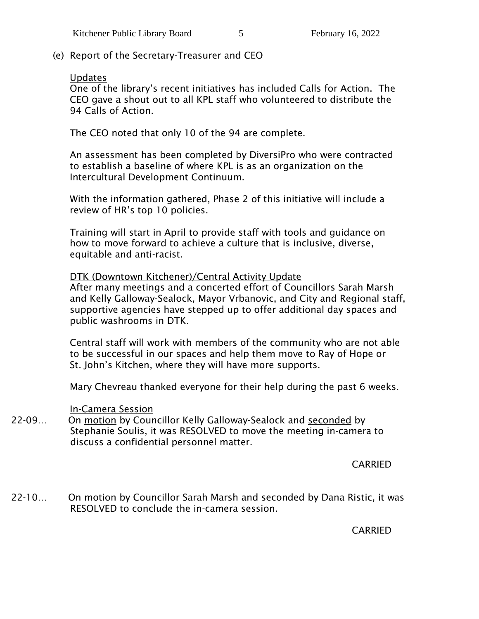(e) Report of the Secretary-Treasurer and CEO

# Updates

One of the library's recent initiatives has included Calls for Action. The CEO gave a shout out to all KPL staff who volunteered to distribute the 94 Calls of Action.

The CEO noted that only 10 of the 94 are complete.

An assessment has been completed by DiversiPro who were contracted to establish a baseline of where KPL is as an organization on the Intercultural Development Continuum.

With the information gathered, Phase 2 of this initiative will include a review of HR's top 10 policies.

Training will start in April to provide staff with tools and guidance on how to move forward to achieve a culture that is inclusive, diverse, equitable and anti-racist.

# DTK (Downtown Kitchener)/Central Activity Update

After many meetings and a concerted effort of Councillors Sarah Marsh and Kelly Galloway-Sealock, Mayor Vrbanovic, and City and Regional staff, supportive agencies have stepped up to offer additional day spaces and public washrooms in DTK.

Central staff will work with members of the community who are not able to be successful in our spaces and help them move to Ray of Hope or St. John's Kitchen, where they will have more supports.

Mary Chevreau thanked everyone for their help during the past 6 weeks.

### In-Camera Session

22-09… On motion by Councillor Kelly Galloway-Sealock and seconded by Stephanie Soulis, it was RESOLVED to move the meeting in-camera to discuss a confidential personnel matter.

CARRIED

22-10… On motion by Councillor Sarah Marsh and seconded by Dana Ristic, it was RESOLVED to conclude the in-camera session.

CARRIED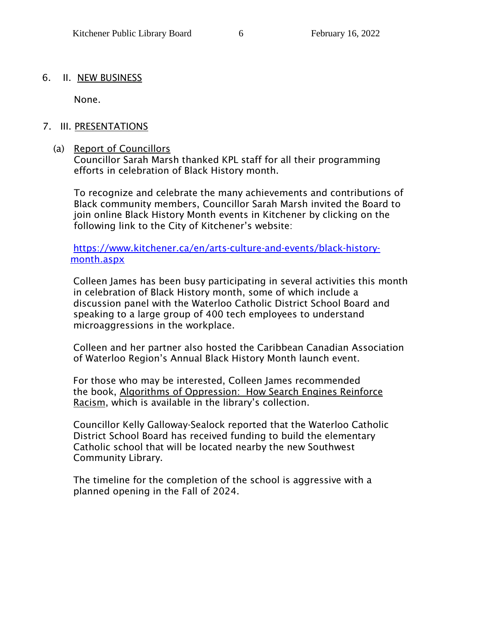### 6. II. NEW BUSINESS

None.

# 7. III. PRESENTATIONS

# (a) Report of Councillors

Councillor Sarah Marsh thanked KPL staff for all their programming efforts in celebration of Black History month.

To recognize and celebrate the many achievements and contributions of Black community members, Councillor Sarah Marsh invited the Board to join online Black History Month events in Kitchener by clicking on the following link to the City of Kitchener's website:

[https://www.kitchener.ca/en/arts-culture-and-events/black-history](https://www.kitchener.ca/en/arts-culture-and-events/black-history-month.aspx)[month.aspx](https://www.kitchener.ca/en/arts-culture-and-events/black-history-month.aspx)

Colleen James has been busy participating in several activities this month in celebration of Black History month, some of which include a discussion panel with the Waterloo Catholic District School Board and speaking to a large group of 400 tech employees to understand microaggressions in the workplace.

Colleen and her partner also hosted the Caribbean Canadian Association of Waterloo Region's Annual Black History Month launch event.

For those who may be interested, Colleen James recommended the book, Algorithms of Oppression: How Search Engines Reinforce Racism, which is available in the library's collection.

Councillor Kelly Galloway-Sealock reported that the Waterloo Catholic District School Board has received funding to build the elementary Catholic school that will be located nearby the new Southwest Community Library.

The timeline for the completion of the school is aggressive with a planned opening in the Fall of 2024.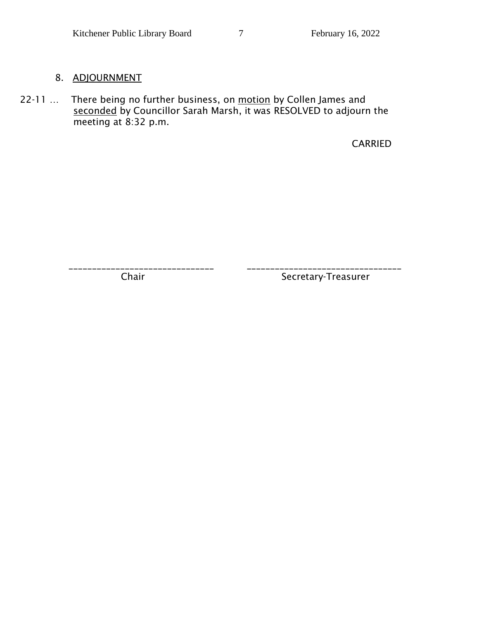# 8. ADJOURNMENT

22-11 ... There being no further business, on motion by Collen James and seconded by Councillor Sarah Marsh, it was RESOLVED to adjourn the meeting at 8:32 p.m.

CARRIED

\_\_\_\_\_\_\_\_\_\_\_\_\_\_\_\_\_\_\_\_\_\_\_\_\_\_\_\_\_\_\_ \_\_\_\_\_\_\_\_\_\_\_\_\_\_\_\_\_\_\_\_\_\_\_\_\_\_\_\_\_\_\_\_\_ Chair Secretary-Treasurer